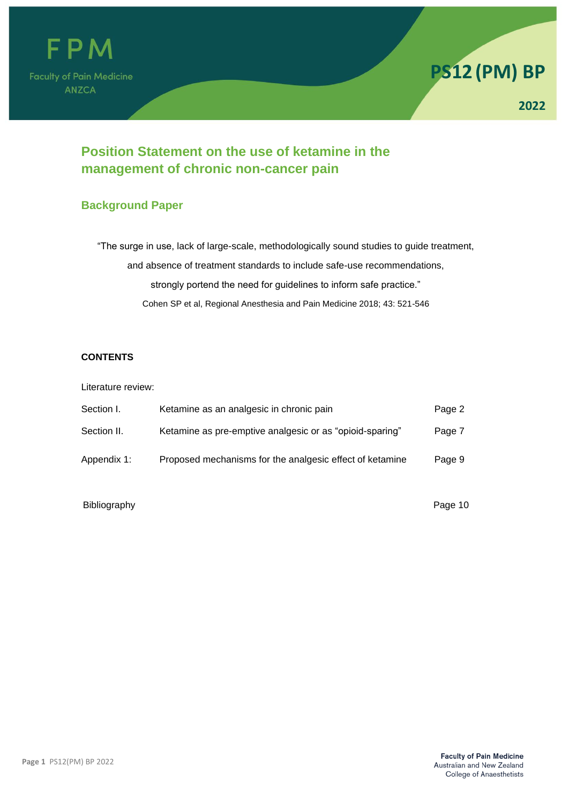



# **Position Statement on the use of ketamine in the management of chronic non-cancer pain**

## **Background Paper**

"The surge in use, lack of large-scale, methodologically sound studies to guide treatment, and absence of treatment standards to include safe-use recommendations, strongly portend the need for guidelines to inform safe practice." Cohen SP et al, Regional Anesthesia and Pain Medicine 2018; 43: 521-546

## **CONTENTS**

Literature review:

| Section I.  | Ketamine as an analgesic in chronic pain                 | Page 2 |
|-------------|----------------------------------------------------------|--------|
| Section II. | Ketamine as pre-emptive analgesic or as "opioid-sparing" | Page 7 |
| Appendix 1: | Proposed mechanisms for the analgesic effect of ketamine | Page 9 |

Bibliography **Page 10**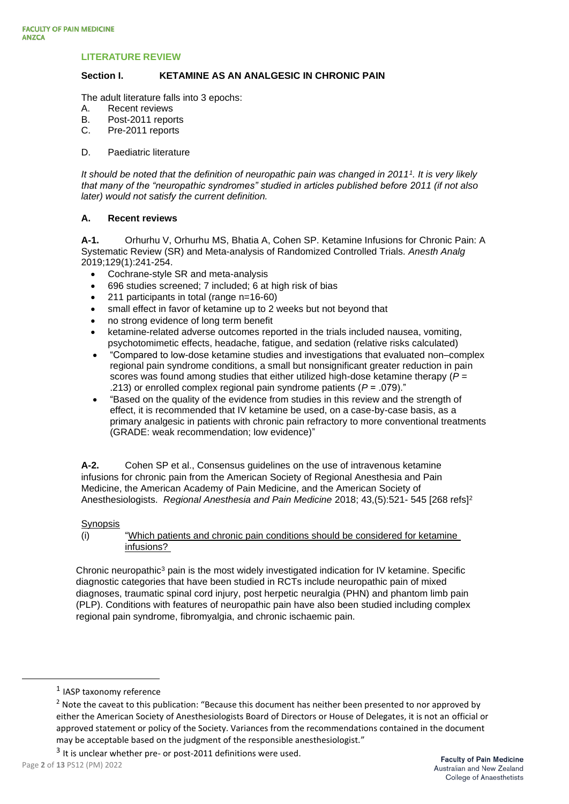#### **LITERATURE REVIEW**

#### **Section I. KETAMINE AS AN ANALGESIC IN CHRONIC PAIN**

The adult literature falls into 3 epochs:

- A. Recent reviews
- B. Post-2011 reports
- C. Pre-2011 reports
- D. Paediatric literature

*It should be noted that the definition of neuropathic pain was changed in 2011<sup>1</sup> . It is very likely that many of the "neuropathic syndromes" studied in articles published before 2011 (if not also later) would not satisfy the current definition.*

#### **A. Recent reviews**

**A-1.** Orhurhu V, Orhurhu MS, Bhatia A, Cohen SP. Ketamine Infusions for Chronic Pain: A Systematic Review (SR) and Meta-analysis of Randomized Controlled Trials. *Anesth Analg*  2019;129(1):241-254.

- Cochrane-style SR and meta-analysis
- 696 studies screened; 7 included; 6 at high risk of bias
- 211 participants in total (range n=16-60)
- small effect in favor of ketamine up to 2 weeks but not beyond that
- no strong evidence of long term benefit
- ketamine-related adverse outcomes reported in the trials included nausea, vomiting, psychotomimetic effects, headache, fatigue, and sedation (relative risks calculated)
- "Compared to low-dose ketamine studies and investigations that evaluated non–complex regional pain syndrome conditions, a small but nonsignificant greater reduction in pain scores was found among studies that either utilized high-dose ketamine therapy (*P* = .213) or enrolled complex regional pain syndrome patients (*P* = .079)."
- "Based on the quality of the evidence from studies in this review and the strength of effect, it is recommended that IV ketamine be used, on a case-by-case basis, as a primary analgesic in patients with chronic pain refractory to more conventional treatments (GRADE: weak recommendation; low evidence)"

**A-2.** Cohen SP et al., Consensus guidelines on the use of intravenous ketamine infusions for chronic pain from the American Society of Regional Anesthesia and Pain Medicine, the American Academy of Pain Medicine, and the American Society of Anesthesiologists. *Regional Anesthesia and Pain Medicine* 2018; 43,(5):521- 545 [268 refs]<sup>2</sup>

#### **Synopsis**

(i) "Which patients and chronic pain conditions should be considered for ketamine infusions?

Chronic neuropathic<sup>3</sup> pain is the most widely investigated indication for IV ketamine. Specific diagnostic categories that have been studied in RCTs include neuropathic pain of mixed diagnoses, traumatic spinal cord injury, post herpetic neuralgia (PHN) and phantom limb pain (PLP). Conditions with features of neuropathic pain have also been studied including complex regional pain syndrome, fibromyalgia, and chronic ischaemic pain.

<sup>&</sup>lt;sup>1</sup> IASP taxonomy reference

<sup>&</sup>lt;sup>2</sup> Note the caveat to this publication: "Because this document has neither been presented to nor approved by either the American Society of Anesthesiologists Board of Directors or House of Delegates, it is not an official or approved statement or policy of the Society. Variances from the recommendations contained in the document may be acceptable based on the judgment of the responsible anesthesiologist."

 $3$  It is unclear whether pre- or post-2011 definitions were used.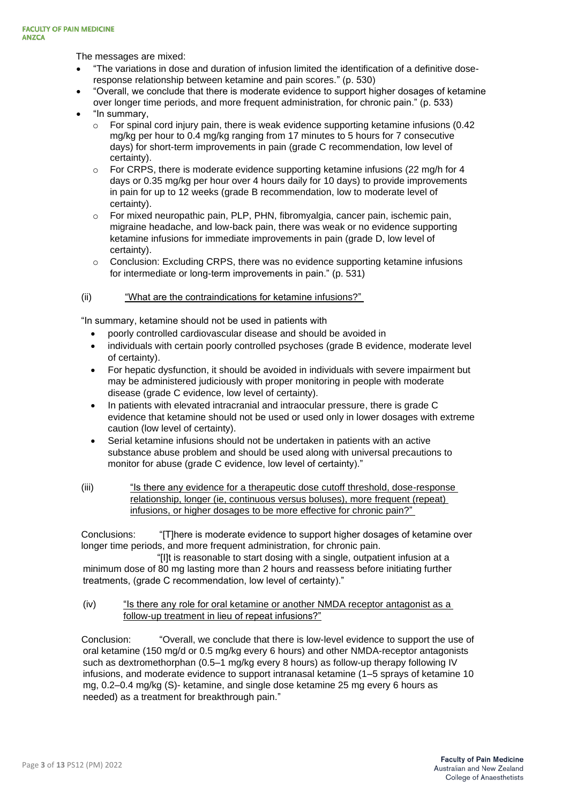The messages are mixed:

- "The variations in dose and duration of infusion limited the identification of a definitive doseresponse relationship between ketamine and pain scores." (p. 530)
- "Overall, we conclude that there is moderate evidence to support higher dosages of ketamine over longer time periods, and more frequent administration, for chronic pain." (p. 533)
	- "In summary,
		- $\circ$  For spinal cord injury pain, there is weak evidence supporting ketamine infusions (0.42) mg/kg per hour to 0.4 mg/kg ranging from 17 minutes to 5 hours for 7 consecutive days) for short-term improvements in pain (grade C recommendation, low level of certainty).
		- $\circ$  For CRPS, there is moderate evidence supporting ketamine infusions (22 mg/h for 4 days or 0.35 mg/kg per hour over 4 hours daily for 10 days) to provide improvements in pain for up to 12 weeks (grade B recommendation, low to moderate level of certainty).
		- o For mixed neuropathic pain, PLP, PHN, fibromyalgia, cancer pain, ischemic pain, migraine headache, and low-back pain, there was weak or no evidence supporting ketamine infusions for immediate improvements in pain (grade D, low level of certainty).
		- $\circ$  Conclusion: Excluding CRPS, there was no evidence supporting ketamine infusions for intermediate or long-term improvements in pain." (p. 531)

## (ii) "What are the contraindications for ketamine infusions?"

"In summary, ketamine should not be used in patients with

- poorly controlled cardiovascular disease and should be avoided in
- individuals with certain poorly controlled psychoses (grade B evidence, moderate level of certainty).
- For hepatic dysfunction, it should be avoided in individuals with severe impairment but may be administered judiciously with proper monitoring in people with moderate disease (grade C evidence, low level of certainty).
- In patients with elevated intracranial and intraocular pressure, there is grade C evidence that ketamine should not be used or used only in lower dosages with extreme caution (low level of certainty).
- Serial ketamine infusions should not be undertaken in patients with an active substance abuse problem and should be used along with universal precautions to monitor for abuse (grade C evidence, low level of certainty)."
- (iii) "Is there any evidence for a therapeutic dose cutoff threshold, dose-response relationship, longer (ie, continuous versus boluses), more frequent (repeat) infusions, or higher dosages to be more effective for chronic pain?"

Conclusions: "[T]here is moderate evidence to support higher dosages of ketamine over longer time periods, and more frequent administration, for chronic pain.

"[I]t is reasonable to start dosing with a single, outpatient infusion at a minimum dose of 80 mg lasting more than 2 hours and reassess before initiating further treatments, (grade C recommendation, low level of certainty)."

(iv) "Is there any role for oral ketamine or another NMDA receptor antagonist as a follow-up treatment in lieu of repeat infusions?"

Conclusion: "Overall, we conclude that there is low-level evidence to support the use of oral ketamine (150 mg/d or 0.5 mg/kg every 6 hours) and other NMDA-receptor antagonists such as dextromethorphan (0.5–1 mg/kg every 8 hours) as follow-up therapy following IV infusions, and moderate evidence to support intranasal ketamine (1–5 sprays of ketamine 10 mg, 0.2–0.4 mg/kg (S)- ketamine, and single dose ketamine 25 mg every 6 hours as needed) as a treatment for breakthrough pain."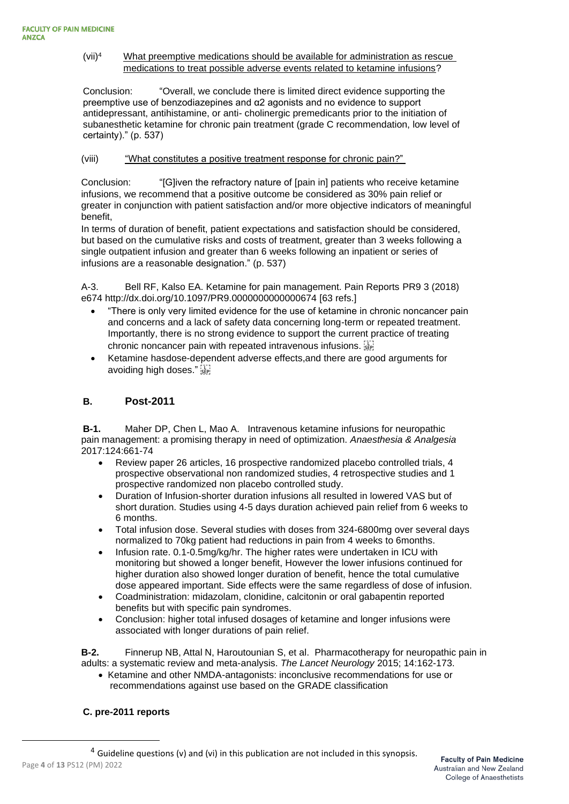#### (vii)<sup>4</sup> What preemptive medications should be available for administration as rescue medications to treat possible adverse events related to ketamine infusions?

Conclusion: "Overall, we conclude there is limited direct evidence supporting the preemptive use of benzodiazepines and α2 agonists and no evidence to support antidepressant, antihistamine, or anti- cholinergic premedicants prior to the initiation of subanesthetic ketamine for chronic pain treatment (grade C recommendation, low level of certainty)." (p. 537)

## (viii) "What constitutes a positive treatment response for chronic pain?"

Conclusion: "[G]iven the refractory nature of [pain in] patients who receive ketamine infusions, we recommend that a positive outcome be considered as 30% pain relief or greater in conjunction with patient satisfaction and/or more objective indicators of meaningful benefit,

In terms of duration of benefit, patient expectations and satisfaction should be considered, but based on the cumulative risks and costs of treatment, greater than 3 weeks following a single outpatient infusion and greater than 6 weeks following an inpatient or series of infusions are a reasonable designation." (p. 537)

A-3. Bell RF, Kalso EA. Ketamine for pain management. Pain Reports PR9 3 (2018) e674 http://dx.doi.org/10.1097/PR9.0000000000000674 [63 refs.]

- "There is only very limited evidence for the use of ketamine in chronic noncancer pain and concerns and a lack of safety data concerning long-term or repeated treatment. Importantly, there is no strong evidence to support the current practice of treating chronic noncancer pain with repeated intravenous infusions.
- Ketamine hasdose-dependent adverse effects,and there are good arguments for avoiding high doses."

## **B. Post-2011**

**B-1.** Maher DP, Chen L, Mao A. Intravenous ketamine infusions for neuropathic pain management: a promising therapy in need of optimization. *Anaesthesia & Analgesia* 2017:124:661-74

- Review paper 26 articles, 16 prospective randomized placebo controlled trials, 4 prospective observational non randomized studies, 4 retrospective studies and 1 prospective randomized non placebo controlled study.
- Duration of Infusion-shorter duration infusions all resulted in lowered VAS but of short duration. Studies using 4-5 days duration achieved pain relief from 6 weeks to 6 months.
- Total infusion dose. Several studies with doses from 324-6800mg over several days normalized to 70kg patient had reductions in pain from 4 weeks to 6months.
- Infusion rate. 0.1-0.5mg/kg/hr. The higher rates were undertaken in ICU with monitoring but showed a longer benefit, However the lower infusions continued for higher duration also showed longer duration of benefit, hence the total cumulative dose appeared important. Side effects were the same regardless of dose of infusion.
- Coadministration: midazolam, clonidine, calcitonin or oral gabapentin reported benefits but with specific pain syndromes.
- Conclusion: higher total infused dosages of ketamine and longer infusions were associated with longer durations of pain relief.

**B-2.** Finnerup NB, Attal N, Haroutounian S, et al. Pharmacotherapy for neuropathic pain in adults: a systematic review and meta-analysis. *The Lancet Neurology* 2015; 14:162-173.

• Ketamine and other NMDA-antagonists: inconclusive recommendations for use or recommendations against use based on the GRADE classification

## **C. pre-2011 reports**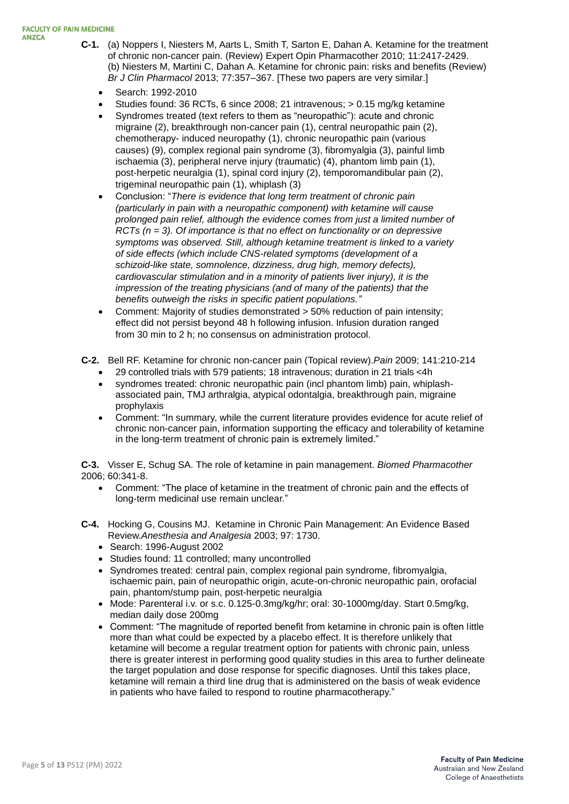#### **FACULTY OF PAIN MEDICINE ANZCA**

- **C-1.** (a) Noppers I, Niesters M, Aarts L, Smith T, Sarton E, Dahan A. Ketamine for the treatment of chronic non-cancer pain. (Review) Expert Opin Pharmacother 2010; 11:2417-2429. (b) Niesters M, Martini C, Dahan A. Ketamine for chronic pain: risks and benefits (Review) *Br J Clin Pharmacol* 2013; 77:357–367. [These two papers are very similar.]
	- Search: 1992-2010
	- Studies found: 36 RCTs, 6 since 2008; 21 intravenous; > 0.15 mg/kg ketamine
	- Syndromes treated (text refers to them as "neuropathic"): acute and chronic migraine (2), breakthrough non-cancer pain (1), central neuropathic pain (2), chemotherapy- induced neuropathy (1), chronic neuropathic pain (various causes) (9), complex regional pain syndrome (3), fibromyalgia (3), painful limb ischaemia (3), peripheral nerve injury (traumatic) (4), phantom limb pain (1), post-herpetic neuralgia (1), spinal cord injury (2), temporomandibular pain (2), trigeminal neuropathic pain (1), whiplash (3)
	- Conclusion: "*There is evidence that long term treatment of chronic pain (particularly in pain with a neuropathic component) with ketamine will cause prolonged pain relief, although the evidence comes from just a limited number of RCTs (n = 3). Of importance is that no effect on functionality or on depressive symptoms was observed. Still, although ketamine treatment is linked to a variety of side effects (which include CNS-related symptoms (development of a schizoid-like state, somnolence, dizziness, drug high, memory defects), cardiovascular stimulation and in a minority of patients liver injury), it is the impression of the treating physicians (and of many of the patients) that the benefits outweigh the risks in specific patient populations."*
	- Comment: Majority of studies demonstrated > 50% reduction of pain intensity; effect did not persist beyond 48 h following infusion. Infusion duration ranged from 30 min to 2 h; no consensus on administration protocol.
- **C-2.** Bell RF. Ketamine for chronic non-cancer pain (Topical review).*Pain* 2009; 141:210-214
	- 29 controlled trials with 579 patients; 18 intravenous; duration in 21 trials <4h
	- syndromes treated: chronic neuropathic pain (incl phantom limb) pain, whiplashassociated pain, TMJ arthralgia, atypical odontalgia, breakthrough pain, migraine prophylaxis
	- Comment: "In summary, while the current literature provides evidence for acute relief of chronic non-cancer pain, information supporting the efficacy and tolerability of ketamine in the long-term treatment of chronic pain is extremely limited."

**C-3.** Visser E, Schug SA. The role of ketamine in pain management. *Biomed Pharmacother*  2006; 60:341-8.

- Comment: "The place of ketamine in the treatment of chronic pain and the effects of long-term medicinal use remain unclear."
- **C-4.** Hocking G, Cousins MJ. Ketamine in Chronic Pain Management: An Evidence Based Review.*Anesthesia and Analgesia* 2003; 97: 1730.
	- Search: 1996-August 2002
	- Studies found: 11 controlled; many uncontrolled
	- Syndromes treated: central pain, complex regional pain syndrome, fibromyalgia, ischaemic pain, pain of neuropathic origin, acute-on-chronic neuropathic pain, orofacial pain, phantom/stump pain, post-herpetic neuralgia
	- Mode: Parenteral i.v. or s.c. 0.125-0.3mg/kg/hr; oral: 30-1000mg/day. Start 0.5mg/kg, median daily dose 200mg
	- Comment: "The magnitude of reported benefit from ketamine in chronic pain is often little more than what could be expected by a placebo effect. It is therefore unlikely that ketamine will become a regular treatment option for patients with chronic pain, unless there is greater interest in performing good quality studies in this area to further delineate the target population and dose response for specific diagnoses. Until this takes place, ketamine will remain a third line drug that is administered on the basis of weak evidence in patients who have failed to respond to routine pharmacotherapy."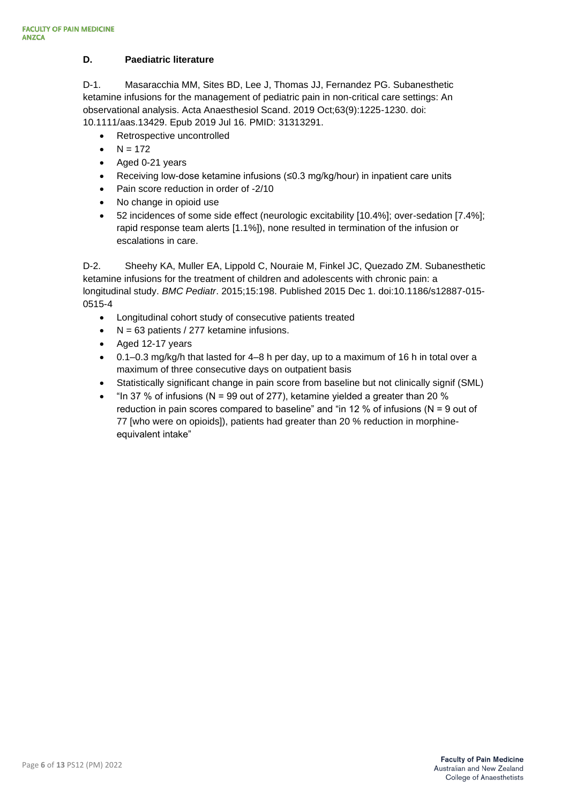## **D. Paediatric literature**

D-1. Masaracchia MM, Sites BD, Lee J, Thomas JJ, Fernandez PG. Subanesthetic ketamine infusions for the management of pediatric pain in non-critical care settings: An observational analysis. Acta Anaesthesiol Scand. 2019 Oct;63(9):1225-1230. doi: 10.1111/aas.13429. Epub 2019 Jul 16. PMID: 31313291.

- Retrospective uncontrolled
- $N = 172$
- Aged 0-21 years
- Receiving low-dose ketamine infusions (≤0.3 mg/kg/hour) in inpatient care units
- Pain score reduction in order of -2/10
- No change in opioid use
- 52 incidences of some side effect (neurologic excitability [10.4%]; over-sedation [7.4%]; rapid response team alerts [1.1%]), none resulted in termination of the infusion or escalations in care.

D-2. Sheehy KA, Muller EA, Lippold C, Nouraie M, Finkel JC, Quezado ZM. Subanesthetic ketamine infusions for the treatment of children and adolescents with chronic pain: a longitudinal study. *BMC Pediatr*. 2015;15:198. Published 2015 Dec 1. doi:10.1186/s12887-015- 0515-4

- Longitudinal cohort study of consecutive patients treated
- $N = 63$  patients / 277 ketamine infusions.
- Aged 12-17 years
- 0.1–0.3 mg/kg/h that lasted for 4–8 h per day, up to a maximum of 16 h in total over a maximum of three consecutive days on outpatient basis
- Statistically significant change in pain score from baseline but not clinically signif (SML)
- "In 37 % of infusions ( $N = 99$  out of 277), ketamine yielded a greater than 20 % reduction in pain scores compared to baseline" and "in 12 % of infusions ( $N = 9$  out of 77 [who were on opioids]), patients had greater than 20 % reduction in morphineequivalent intake"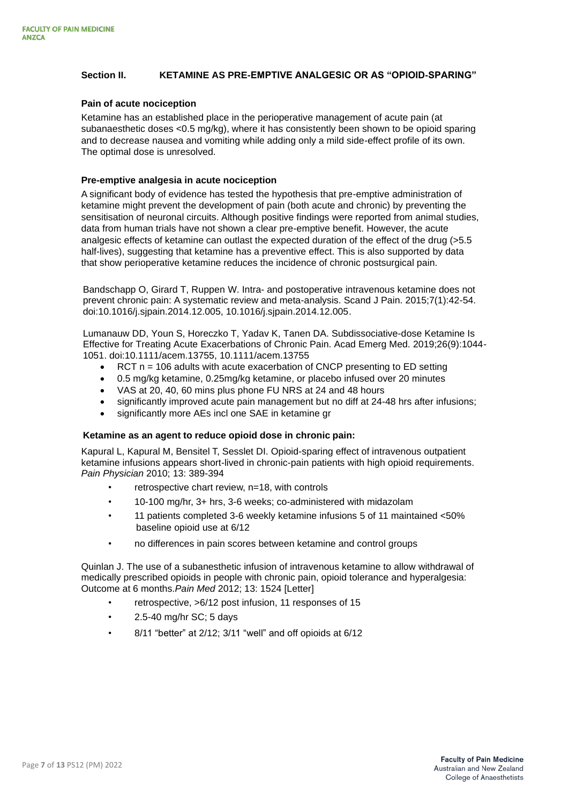### **Section II. KETAMINE AS PRE-EMPTIVE ANALGESIC OR AS "OPIOID-SPARING"**

#### **Pain of acute nociception**

Ketamine has an established place in the perioperative management of acute pain (at subanaesthetic doses <0.5 mg/kg), where it has consistently been shown to be opioid sparing and to decrease nausea and vomiting while adding only a mild side-effect profile of its own. The optimal dose is unresolved.

#### **Pre-emptive analgesia in acute nociception**

A significant body of evidence has tested the hypothesis that pre-emptive administration of ketamine might prevent the development of pain (both acute and chronic) by preventing the sensitisation of neuronal circuits. Although positive findings were reported from animal studies, data from human trials have not shown a clear pre-emptive benefit. However, the acute analgesic effects of ketamine can outlast the expected duration of the effect of the drug (>5.5 half-lives), suggesting that ketamine has a preventive effect. This is also supported by data that show perioperative ketamine reduces the incidence of chronic postsurgical pain.

Bandschapp O, Girard T, Ruppen W. Intra- and postoperative intravenous ketamine does not prevent chronic pain: A systematic review and meta-analysis. Scand J Pain. 2015;7(1):42-54. doi:10.1016/j.sjpain.2014.12.005, 10.1016/j.sjpain.2014.12.005.

Lumanauw DD, Youn S, Horeczko T, Yadav K, Tanen DA. Subdissociative-dose Ketamine Is Effective for Treating Acute Exacerbations of Chronic Pain. Acad Emerg Med. 2019;26(9):1044- 1051. doi:10.1111/acem.13755, 10.1111/acem.13755

- RCT n = 106 adults with acute exacerbation of CNCP presenting to ED setting
- 0.5 mg/kg ketamine, 0.25mg/kg ketamine, or placebo infused over 20 minutes
- VAS at 20, 40, 60 mins plus phone FU NRS at 24 and 48 hours
- significantly improved acute pain management but no diff at 24-48 hrs after infusions;
- significantly more AEs incl one SAE in ketamine gr

#### **Ketamine as an agent to reduce opioid dose in chronic pain:**

Kapural L, Kapural M, Bensitel T, Sesslet DI. Opioid-sparing effect of intravenous outpatient ketamine infusions appears short-lived in chronic-pain patients with high opioid requirements. *Pain Physician* 2010; 13: 389-394

- retrospective chart review, n=18, with controls
- 10-100 mg/hr, 3+ hrs, 3-6 weeks; co-administered with midazolam
- 11 patients completed 3-6 weekly ketamine infusions 5 of 11 maintained <50% baseline opioid use at 6/12
- no differences in pain scores between ketamine and control groups

Quinlan J. The use of a subanesthetic infusion of intravenous ketamine to allow withdrawal of medically prescribed opioids in people with chronic pain, opioid tolerance and hyperalgesia: Outcome at 6 months.*Pain Med* 2012; 13: 1524 [Letter]

- retrospective, >6/12 post infusion, 11 responses of 15
- $\cdot$  2.5-40 mg/hr SC; 5 days
- 8/11 "better" at 2/12; 3/11 "well" and off opioids at 6/12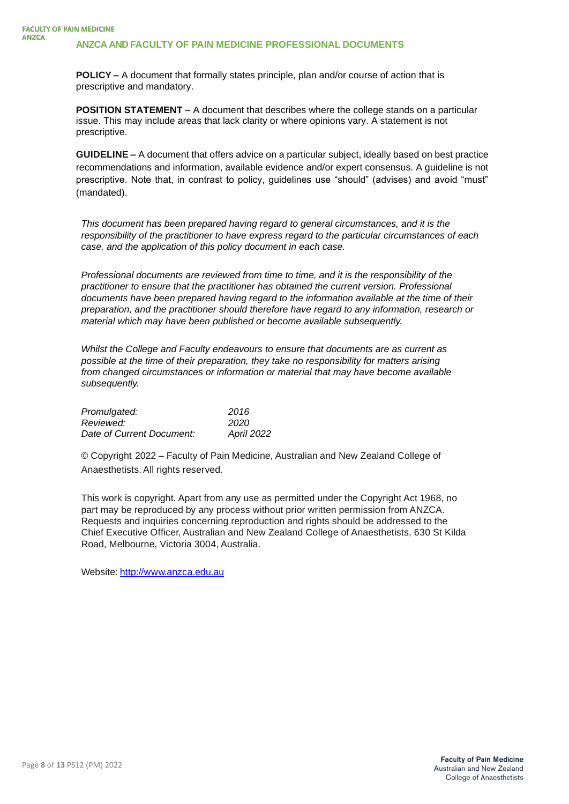**POLICY –** A document that formally states principle, plan and/or course of action that is prescriptive and mandatory.

**POSITION STATEMENT** – A document that describes where the college stands on a particular issue. This may include areas that lack clarity or where opinions vary. A statement is not prescriptive.

**GUIDELINE –** A document that offers advice on a particular subject, ideally based on best practice recommendations and information, available evidence and/or expert consensus. A guideline is not prescriptive. Note that, in contrast to policy, guidelines use "should" (advises) and avoid "must" (mandated).

*This document has been prepared having regard to general circumstances, and it is the responsibility of the practitioner to have express regard to the particular circumstances of each case, and the application of this policy document in each case.*

*Professional documents are reviewed from time to time, and it is the responsibility of the practitioner to ensure that the practitioner has obtained the current version. Professional documents have been prepared having regard to the information available at the time of their preparation, and the practitioner should therefore have regard to any information, research or material which may have been published or become available subsequently.*

*Whilst the College and Faculty endeavours to ensure that documents are as current as possible at the time of their preparation, they take no responsibility for matters arising from changed circumstances or information or material that may have become available subsequently.*

| Promulgated:              | 2016              |
|---------------------------|-------------------|
| Reviewed:                 | 2020              |
| Date of Current Document: | <b>April 2022</b> |

© Copyright 2022 – Faculty of Pain Medicine, Australian and New Zealand College of Anaesthetists. All rights reserved.

This work is copyright. Apart from any use as permitted under the Copyright Act 1968, no part may be reproduced by any process without prior written permission from ANZCA. Requests and inquiries concerning reproduction and rights should be addressed to the Chief Executive Officer, Australian and New Zealand College of Anaesthetists, 630 St Kilda Road, Melbourne, Victoria 3004, Australia.

Website: [http://www.anzca.edu.au](http://www.anzca.edu.au/)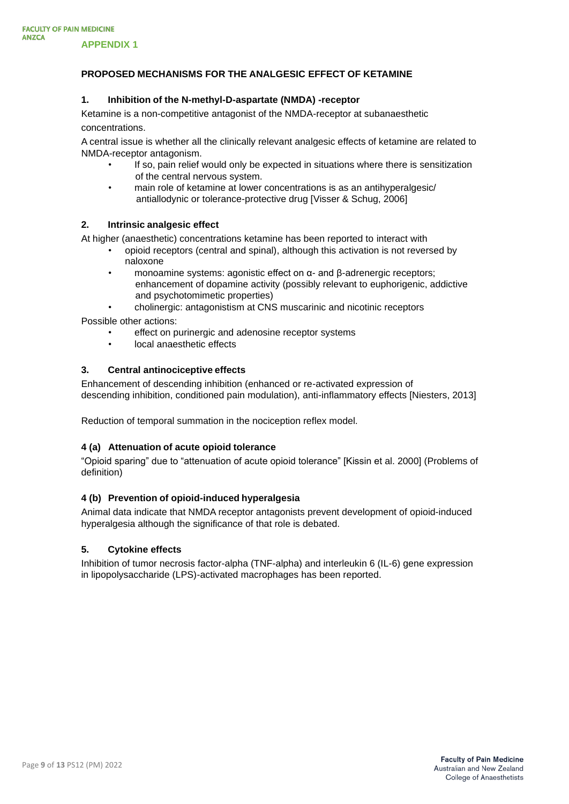## **PROPOSED MECHANISMS FOR THE ANALGESIC EFFECT OF KETAMINE**

#### **1. Inhibition of the N-methyl-D-aspartate (NMDA) -receptor**

Ketamine is a non-competitive antagonist of the NMDA-receptor at subanaesthetic concentrations.

A central issue is whether all the clinically relevant analgesic effects of ketamine are related to NMDA-receptor antagonism.

- If so, pain relief would only be expected in situations where there is sensitization of the central nervous system.
- main role of ketamine at lower concentrations is as an antihyperalgesic/ antiallodynic or tolerance-protective drug [Visser & Schug, 2006]

#### **2. Intrinsic analgesic effect**

At higher (anaesthetic) concentrations ketamine has been reported to interact with

- opioid receptors (central and spinal), although this activation is not reversed by naloxone
- monoamine systems: agonistic effect on α- and β-adrenergic receptors; enhancement of dopamine activity (possibly relevant to euphorigenic, addictive and psychotomimetic properties)
- cholinergic: antagonistism at CNS muscarinic and nicotinic receptors Possible other actions:
	- effect on purinergic and adenosine receptor systems
	- local anaesthetic effects

#### **3. Central antinociceptive effects**

Enhancement of descending inhibition (enhanced or re-activated expression of descending inhibition, conditioned pain modulation), anti-inflammatory effects [Niesters, 2013]

Reduction of temporal summation in the nociception reflex model.

#### **4 (a) Attenuation of acute opioid tolerance**

"Opioid sparing" due to "attenuation of acute opioid tolerance" [Kissin et al. 2000] (Problems of definition)

#### **4 (b) Prevention of opioid-induced hyperalgesia**

Animal data indicate that NMDA receptor antagonists prevent development of opioid-induced hyperalgesia although the significance of that role is debated.

#### **5. Cytokine effects**

Inhibition of tumor necrosis factor-alpha (TNF-alpha) and interleukin 6 (IL-6) gene expression in lipopolysaccharide (LPS)-activated macrophages has been reported.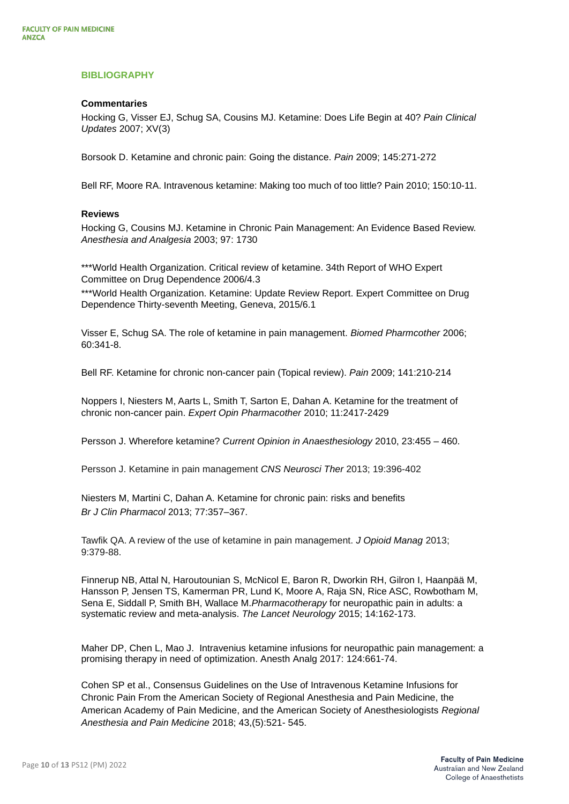## **BIBLIOGRAPHY**

#### **Commentaries**

Hocking G, Visser EJ, Schug SA, Cousins MJ. Ketamine: Does Life Begin at 40? *Pain Clinical Updates* 2007; XV(3)

Borsook D. Ketamine and chronic pain: Going the distance. *Pain* 2009; 145:271-272

Bell RF, Moore RA. Intravenous ketamine: Making too much of too little? Pain 2010; 150:10-11.

#### **Reviews**

Hocking G, Cousins MJ. Ketamine in Chronic Pain Management: An Evidence Based Review. *Anesthesia and Analgesia* 2003; 97: 1730

\*\*\*World Health Organization. Critical review of ketamine. 34th Report of WHO Expert Committee on Drug Dependence 2006/4.3

\*\*\*World Health Organization. Ketamine: Update Review Report. Expert Committee on Drug Dependence Thirty-seventh Meeting, Geneva, 2015/6.1

Visser E, Schug SA. The role of ketamine in pain management. *Biomed Pharmcother* 2006; 60:341-8.

Bell RF. Ketamine for chronic non-cancer pain (Topical review). *Pain* 2009; 141:210-214

Noppers I, Niesters M, Aarts L, Smith T, Sarton E, Dahan A. Ketamine for the treatment of chronic non-cancer pain. *Expert Opin Pharmacother* 2010; 11:2417-2429

Persson J. Wherefore ketamine? *Current Opinion in Anaesthesiology* 2010, 23:455 – 460.

Persson J. Ketamine in pain management *CNS Neurosci Ther* 2013; 19:396-402

Niesters M, Martini C, Dahan A. Ketamine for chronic pain: risks and benefits *Br J Clin Pharmacol* 2013; 77:357–367.

Tawfik QA. A review of the use of ketamine in pain management. *J Opioid Manag* 2013; 9:379-88.

Finnerup NB, Attal N, Haroutounian S, McNicol E, Baron R, Dworkin RH, Gilron I, Haanpää M, Hansson P, Jensen TS, Kamerman PR, Lund K, Moore A, Raja SN, Rice ASC, Rowbotham M, Sena E, Siddall P, Smith BH, Wallace M.*Pharmacotherapy* for neuropathic pain in adults: a systematic review and meta-analysis. *The Lancet Neurology* 2015; 14:162-173.

Maher DP, Chen L, Mao J. Intravenius ketamine infusions for neuropathic pain management: a promising therapy in need of optimization. Anesth Analg 2017: 124:661-74.

Cohen SP et al., Consensus Guidelines on the Use of Intravenous Ketamine Infusions for Chronic Pain From the American Society of Regional Anesthesia and Pain Medicine, the American Academy of Pain Medicine, and the American Society of Anesthesiologists *Regional Anesthesia and Pain Medicine* 2018; 43,(5):521- 545.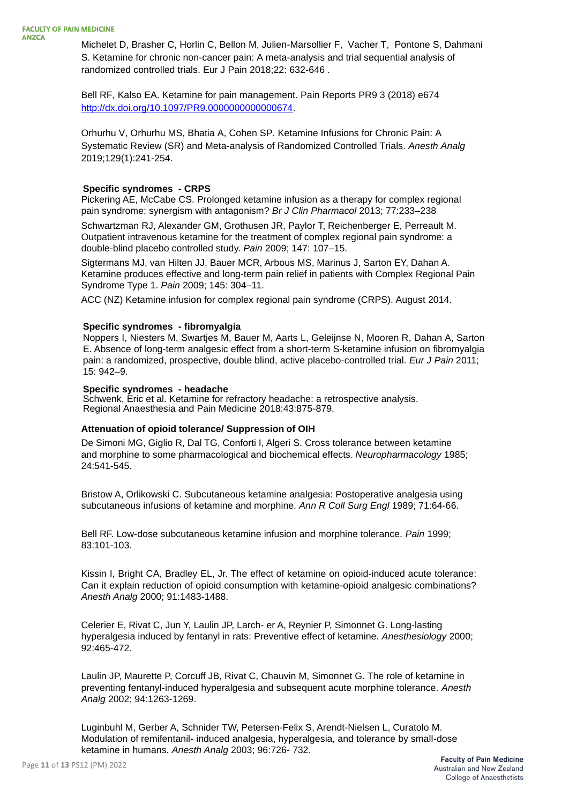Michelet D, Brasher C, Horlin C, Bellon M, Julien-Marsollier F, Vacher T, Pontone S, Dahmani S. Ketamine for chronic non-cancer pain: A meta-analysis and trial sequential analysis of randomized controlled trials. Eur J Pain 2018;22: 632-646 .

Bell RF, Kalso EA. Ketamine for pain management. Pain Reports PR9 3 (2018) e674 [http://dx.doi.org/10.1097/PR9.0000000000000674.](http://dx.doi.org/10.1097/PR9.0000000000000674)

Orhurhu V, Orhurhu MS, Bhatia A, Cohen SP. Ketamine Infusions for Chronic Pain: A Systematic Review (SR) and Meta-analysis of Randomized Controlled Trials. *Anesth Analg*  2019;129(1):241-254.

#### **Specific syndromes - CRPS**

Pickering AE, McCabe CS. Prolonged ketamine infusion as a therapy for complex regional pain syndrome: synergism with antagonism? *Br J Clin Pharmacol* 2013; 77:233–238

Schwartzman RJ, Alexander GM, Grothusen JR, Paylor T, Reichenberger E, Perreault M. Outpatient intravenous ketamine for the treatment of complex regional pain syndrome: a double-blind placebo controlled study. *Pain* 2009; 147: 107–15.

Sigtermans MJ, van Hilten JJ, Bauer MCR, Arbous MS, Marinus J, Sarton EY, Dahan A. Ketamine produces effective and long-term pain relief in patients with Complex Regional Pain Syndrome Type 1. *Pain* 2009; 145: 304–11.

ACC (NZ) Ketamine infusion for complex regional pain syndrome (CRPS). August 2014.

#### **Specific syndromes - fibromyalgia**

Noppers I, Niesters M, Swartjes M, Bauer M, Aarts L, Geleijnse N, Mooren R, Dahan A, Sarton E. Absence of long-term analgesic effect from a short-term S-ketamine infusion on fibromyalgia pain: a randomized, prospective, double blind, active placebo-controlled trial. *Eur J Pain* 2011; 15: 942–9.

#### **Specific syndromes - headache**

Schwenk, Eric et al. Ketamine for refractory headache: a retrospective analysis. Regional Anaesthesia and Pain Medicine 2018:43:875-879.

## **Attenuation of opioid tolerance/ Suppression of OIH**

De Simoni MG, Giglio R, Dal TG, Conforti I, Algeri S. Cross tolerance between ketamine and morphine to some pharmacological and biochemical effects. *Neuropharmacology* 1985; 24:541-545.

Bristow A, Orlikowski C. Subcutaneous ketamine analgesia: Postoperative analgesia using subcutaneous infusions of ketamine and morphine. *Ann R Coll Surg Engl* 1989; 71:64-66.

Bell RF. Low-dose subcutaneous ketamine infusion and morphine tolerance. *Pain* 1999; 83:101-103.

Kissin I, Bright CA, Bradley EL, Jr. The effect of ketamine on opioid-induced acute tolerance: Can it explain reduction of opioid consumption with ketamine-opioid analgesic combinations? *Anesth Analg* 2000; 91:1483-1488.

Celerier E, Rivat C, Jun Y, Laulin JP, Larch- er A, Reynier P, Simonnet G. Long-lasting hyperalgesia induced by fentanyl in rats: Preventive effect of ketamine. *Anesthesiology* 2000; 92:465-472.

Laulin JP, Maurette P, Corcuff JB, Rivat C, Chauvin M, Simonnet G. The role of ketamine in preventing fentanyl-induced hyperalgesia and subsequent acute morphine tolerance. *Anesth Analg* 2002; 94:1263-1269.

Luginbuhl M, Gerber A, Schnider TW, Petersen-Felix S, Arendt-Nielsen L, Curatolo M. Modulation of remifentanil- induced analgesia, hyperalgesia, and tolerance by small-dose ketamine in humans. *Anesth Analg* 2003; 96:726- 732.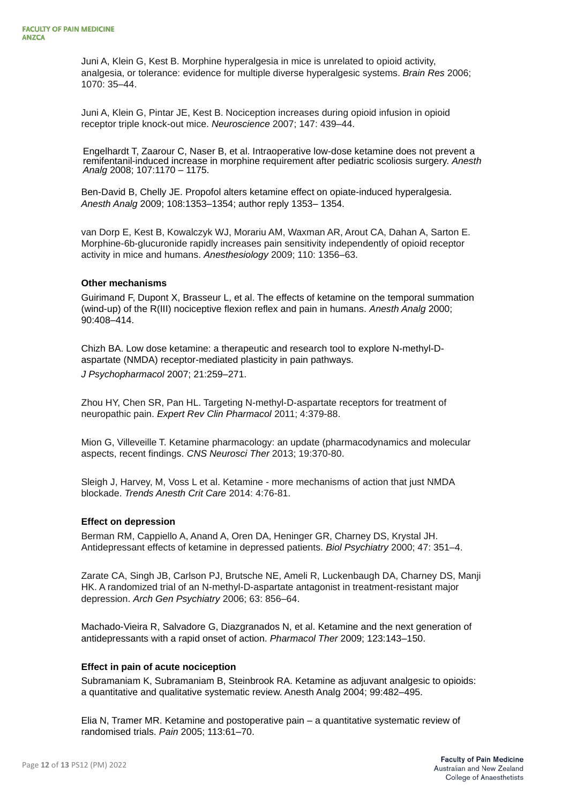Juni A, Klein G, Kest B. Morphine hyperalgesia in mice is unrelated to opioid activity, analgesia, or tolerance: evidence for multiple diverse hyperalgesic systems. *Brain Res* 2006; 1070: 35–44.

Juni A, Klein G, Pintar JE, Kest B. Nociception increases during opioid infusion in opioid receptor triple knock-out mice. *Neuroscience* 2007; 147: 439–44.

Engelhardt T, Zaarour C, Naser B, et al. Intraoperative low-dose ketamine does not prevent a remifentanil-induced increase in morphine requirement after pediatric scoliosis surgery. *Anesth Analg* 2008; 107:1170 – 1175.

Ben-David B, Chelly JE. Propofol alters ketamine effect on opiate-induced hyperalgesia. *Anesth Analg* 2009; 108:1353–1354; author reply 1353– 1354.

van Dorp E, Kest B, Kowalczyk WJ, Morariu AM, Waxman AR, Arout CA, Dahan A, Sarton E. Morphine-6b-glucuronide rapidly increases pain sensitivity independently of opioid receptor activity in mice and humans. *Anesthesiology* 2009; 110: 1356–63.

#### **Other mechanisms**

Guirimand F, Dupont X, Brasseur L, et al. The effects of ketamine on the temporal summation (wind-up) of the R(III) nociceptive flexion reflex and pain in humans. *Anesth Analg* 2000; 90:408–414.

Chizh BA. Low dose ketamine: a therapeutic and research tool to explore N-methyl-Daspartate (NMDA) receptor-mediated plasticity in pain pathways. *J Psychopharmacol* 2007; 21:259–271.

Zhou HY, Chen SR, Pan HL. Targeting N-methyl-D-aspartate receptors for treatment of neuropathic pain. *Expert Rev Clin Pharmacol* 2011; 4:379-88.

Mion G, Villeveille T. Ketamine pharmacology: an update (pharmacodynamics and molecular aspects, recent findings. *CNS Neurosci Ther* 2013; 19:370-80.

Sleigh J, Harvey, M, Voss L et al. Ketamine - more mechanisms of action that just NMDA blockade. *Trends Anesth Crit Care* 2014: 4:76-81.

#### **Effect on depression**

Berman RM, Cappiello A, Anand A, Oren DA, Heninger GR, Charney DS, Krystal JH. Antidepressant effects of ketamine in depressed patients. *Biol Psychiatry* 2000; 47: 351–4.

Zarate CA, Singh JB, Carlson PJ, Brutsche NE, Ameli R, Luckenbaugh DA, Charney DS, Manji HK. A randomized trial of an N-methyl-D-aspartate antagonist in treatment-resistant major depression. *Arch Gen Psychiatry* 2006; 63: 856–64.

Machado-Vieira R, Salvadore G, Diazgranados N, et al. Ketamine and the next generation of antidepressants with a rapid onset of action. *Pharmacol Ther* 2009; 123:143–150.

## **Effect in pain of acute nociception**

Subramaniam K, Subramaniam B, Steinbrook RA. Ketamine as adjuvant analgesic to opioids: a quantitative and qualitative systematic review. Anesth Analg 2004; 99:482–495.

Elia N, Tramer MR. Ketamine and postoperative pain – a quantitative systematic review of randomised trials. *Pain* 2005; 113:61–70.